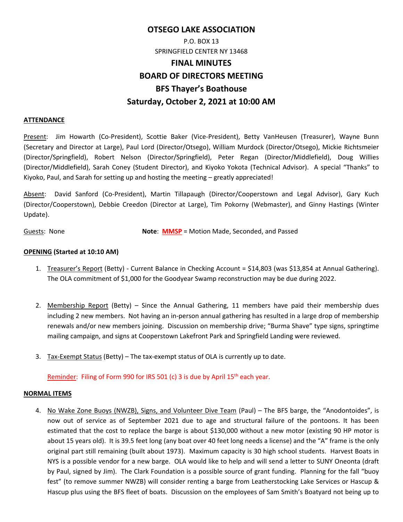# **OTSEGO LAKE ASSOCIATION**  P.O. BOX 13

# SPRINGFIELD CENTER NY 13468

# **FINAL MINUTES BOARD OF DIRECTORS MEETING BFS Thayer's Boathouse Saturday, October 2, 2021 at 10:00 AM**

#### **ATTENDANCE**

Present: Jim Howarth (Co‐President), Scottie Baker (Vice‐President), Betty VanHeusen (Treasurer), Wayne Bunn (Secretary and Director at Large), Paul Lord (Director/Otsego), William Murdock (Director/Otsego), Mickie Richtsmeier (Director/Springfield), Robert Nelson (Director/Springfield), Peter Regan (Director/Middlefield), Doug Willies (Director/Middlefield), Sarah Coney (Student Director), and Kiyoko Yokota (Technical Advisor). A special "Thanks" to Kiyoko, Paul, and Sarah for setting up and hosting the meeting – greatly appreciated!

Absent: David Sanford (Co‐President), Martin Tillapaugh (Director/Cooperstown and Legal Advisor), Gary Kuch (Director/Cooperstown), Debbie Creedon (Director at Large), Tim Pokorny (Webmaster), and Ginny Hastings (Winter Update).

Guests: None **Note**: **MMSP** = Motion Made, Seconded, and Passed

### **OPENING (Started at 10:10 AM)**

- 1. Treasurer's Report (Betty) Current Balance in Checking Account = \$14,803 (was \$13,854 at Annual Gathering). The OLA commitment of \$1,000 for the Goodyear Swamp reconstruction may be due during 2022.
- 2. Membership Report (Betty) Since the Annual Gathering, 11 members have paid their membership dues including 2 new members. Not having an in‐person annual gathering has resulted in a large drop of membership renewals and/or new members joining. Discussion on membership drive; "Burma Shave" type signs, springtime mailing campaign, and signs at Cooperstown Lakefront Park and Springfield Landing were reviewed.
- 3. Tax‐Exempt Status (Betty) The tax‐exempt status of OLA is currently up to date.

Reminder: Filing of Form 990 for IRS 501 (c) 3 is due by April 15<sup>th</sup> each year.

#### **NORMAL ITEMS**

4. No Wake Zone Buoys (NWZB), Signs, and Volunteer Dive Team (Paul) – The BFS barge, the "Anodontoides", is now out of service as of September 2021 due to age and structural failure of the pontoons. It has been estimated that the cost to replace the barge is about \$130,000 without a new motor (existing 90 HP motor is about 15 years old). It is 39.5 feet long (any boat over 40 feet long needs a license) and the "A" frame is the only original part still remaining (built about 1973). Maximum capacity is 30 high school students. Harvest Boats in NYS is a possible vendor for a new barge. OLA would like to help and will send a letter to SUNY Oneonta (draft by Paul, signed by Jim). The Clark Foundation is a possible source of grant funding. Planning for the fall "buoy fest" (to remove summer NWZB) will consider renting a barge from Leatherstocking Lake Services or Hascup & Hascup plus using the BFS fleet of boats. Discussion on the employees of Sam Smith's Boatyard not being up to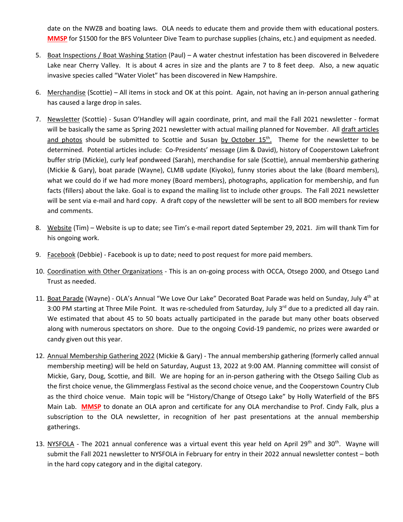date on the NWZB and boating laws. OLA needs to educate them and provide them with educational posters. **MMSP** for \$1500 for the BFS Volunteer Dive Team to purchase supplies (chains, etc.) and equipment as needed.

- 5. Boat Inspections / Boat Washing Station (Paul) A water chestnut infestation has been discovered in Belvedere Lake near Cherry Valley. It is about 4 acres in size and the plants are 7 to 8 feet deep. Also, a new aquatic invasive species called "Water Violet" has been discovered in New Hampshire.
- 6. Merchandise (Scottie) All items in stock and OK at this point. Again, not having an in-person annual gathering has caused a large drop in sales.
- 7. Newsletter (Scottie) Susan O'Handley will again coordinate, print, and mail the Fall 2021 newsletter format will be basically the same as Spring 2021 newsletter with actual mailing planned for November. All draft articles and photos should be submitted to Scottie and Susan by October  $15<sup>th</sup>$ . Theme for the newsletter to be determined. Potential articles include: Co‐Presidents' message (Jim & David), history of Cooperstown Lakefront buffer strip (Mickie), curly leaf pondweed (Sarah), merchandise for sale (Scottie), annual membership gathering (Mickie & Gary), boat parade (Wayne), CLMB update (Kiyoko), funny stories about the lake (Board members), what we could do if we had more money (Board members), photographs, application for membership, and fun facts (fillers) about the lake. Goal is to expand the mailing list to include other groups. The Fall 2021 newsletter will be sent via e-mail and hard copy. A draft copy of the newsletter will be sent to all BOD members for review and comments.
- 8. Website (Tim) Website is up to date; see Tim's e-mail report dated September 29, 2021. Jim will thank Tim for his ongoing work.
- 9. Facebook (Debbie) Facebook is up to date; need to post request for more paid members.
- 10. Coordination with Other Organizations This is an on-going process with OCCA, Otsego 2000, and Otsego Land Trust as needed.
- 11. Boat Parade (Wayne) OLA's Annual "We Love Our Lake" Decorated Boat Parade was held on Sunday, July 4<sup>th</sup> at 3:00 PM starting at Three Mile Point. It was re-scheduled from Saturday, July  $3^{rd}$  due to a predicted all day rain. We estimated that about 45 to 50 boats actually participated in the parade but many other boats observed along with numerous spectators on shore. Due to the ongoing Covid‐19 pandemic, no prizes were awarded or candy given out this year.
- 12. Annual Membership Gathering 2022 (Mickie & Gary) ‐ The annual membership gathering (formerly called annual membership meeting) will be held on Saturday, August 13, 2022 at 9:00 AM. Planning committee will consist of Mickie, Gary, Doug, Scottie, and Bill. We are hoping for an in‐person gathering with the Otsego Sailing Club as the first choice venue, the Glimmerglass Festival as the second choice venue, and the Cooperstown Country Club as the third choice venue. Main topic will be "History/Change of Otsego Lake" by Holly Waterfield of the BFS Main Lab. **MMSP** to donate an OLA apron and certificate for any OLA merchandise to Prof. Cindy Falk, plus a subscription to the OLA newsletter, in recognition of her past presentations at the annual membership gatherings.
- 13. NYSFOLA The 2021 annual conference was a virtual event this year held on April 29<sup>th</sup> and  $30<sup>th</sup>$ . Wayne will submit the Fall 2021 newsletter to NYSFOLA in February for entry in their 2022 annual newsletter contest – both in the hard copy category and in the digital category.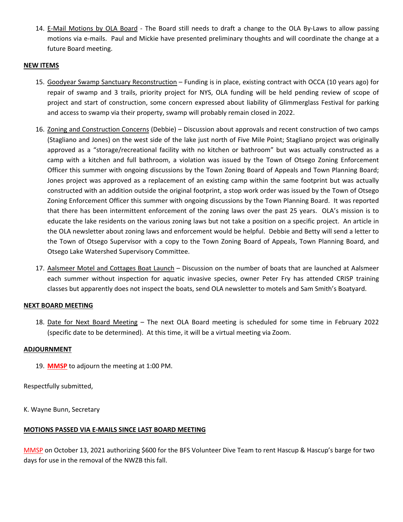14. E-Mail Motions by OLA Board - The Board still needs to draft a change to the OLA By-Laws to allow passing motions via e‐mails. Paul and Mickie have presented preliminary thoughts and will coordinate the change at a future Board meeting.

#### **NEW ITEMS**

- 15. Goodyear Swamp Sanctuary Reconstruction Funding is in place, existing contract with OCCA (10 years ago) for repair of swamp and 3 trails, priority project for NYS, OLA funding will be held pending review of scope of project and start of construction, some concern expressed about liability of Glimmerglass Festival for parking and access to swamp via their property, swamp will probably remain closed in 2022.
- 16. Zoning and Construction Concerns (Debbie) Discussion about approvals and recent construction of two camps (Stagliano and Jones) on the west side of the lake just north of Five Mile Point; Stagliano project was originally approved as a "storage/recreational facility with no kitchen or bathroom" but was actually constructed as a camp with a kitchen and full bathroom, a violation was issued by the Town of Otsego Zoning Enforcement Officer this summer with ongoing discussions by the Town Zoning Board of Appeals and Town Planning Board; Jones project was approved as a replacement of an existing camp within the same footprint but was actually constructed with an addition outside the original footprint, a stop work order was issued by the Town of Otsego Zoning Enforcement Officer this summer with ongoing discussions by the Town Planning Board. It was reported that there has been intermittent enforcement of the zoning laws over the past 25 years. OLA's mission is to educate the lake residents on the various zoning laws but not take a position on a specific project. An article in the OLA newsletter about zoning laws and enforcement would be helpful. Debbie and Betty will send a letter to the Town of Otsego Supervisor with a copy to the Town Zoning Board of Appeals, Town Planning Board, and Otsego Lake Watershed Supervisory Committee.
- 17. Aalsmeer Motel and Cottages Boat Launch Discussion on the number of boats that are launched at Aalsmeer each summer without inspection for aquatic invasive species, owner Peter Fry has attended CRISP training classes but apparently does not inspect the boats, send OLA newsletter to motels and Sam Smith's Boatyard.

#### **NEXT BOARD MEETING**

18. Date for Next Board Meeting - The next OLA Board meeting is scheduled for some time in February 2022 (specific date to be determined). At this time, it will be a virtual meeting via Zoom.

#### **ADJOURNMENT**

19. **MMSP** to adjourn the meeting at 1:00 PM.

Respectfully submitted,

K. Wayne Bunn, Secretary

#### **MOTIONS PASSED VIA E‐MAILS SINCE LAST BOARD MEETING**

MMSP on October 13, 2021 authorizing \$600 for the BFS Volunteer Dive Team to rent Hascup & Hascup's barge for two days for use in the removal of the NWZB this fall.